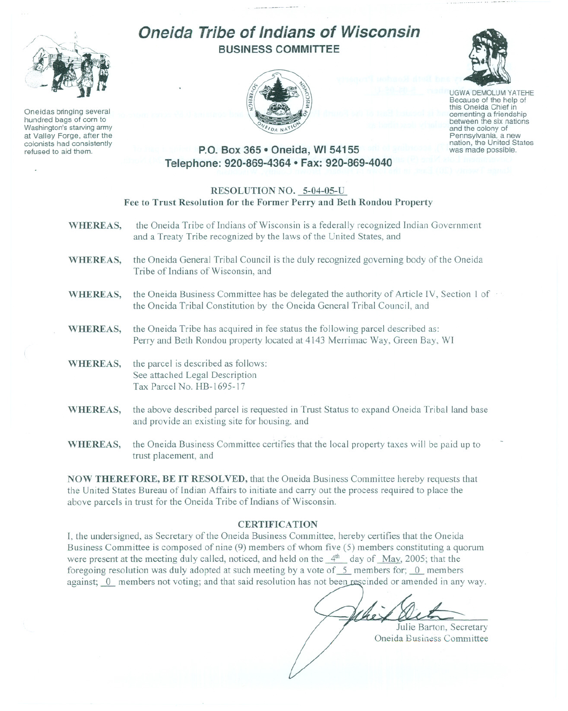

Oneidas bringing several hundred bags of corn to Washington's starving army at Valley Forge, after the colonists had consistently refused to aid them.

# **Oneida Tribe of Indians of Wisconsin BUSINESS COMMITTEE**





UGWA DEMOLUM YATEHE Because of the help of this Oneida Chief in between the six nations and the colony of<br>Pennsylvania, a new nation, the United States was made possible.

## **P.O. Box 365· Oneida, WI 54155 Telephone: 920-869-4364 • Fax: 920-869-4040**

#### RESOLUTION NO. 5-04-05-U Fee to Trust Resolution for the Former Perry and Beth Rondou Property

- WHEREAS, the Oneida Tribe of Indians of Wisconsin is a federally recognized Indian Government and a Treaty Tribe recognized by the laws of the United States, and
- WHEREAS, the Oneida General Tribal Council is the duly recognized governing body of the Oneida Tribe of Indians of Wisconsin, and
- WHEREAS, the Oneida Business Committee has be delegated the authority of Article IV, Section 1 of the Oneida Tribal Constitution by the Oneida General Tribal Council, and
- WHEREAS, the Oneida Tribe has acquired in fee status the following parcel described as: Perry and Beth Rondou property located at 4143 Merrimac Way, Green Bay, WI
- WHEREAS, the parcel is described as follows: See attached Legal Description Tax Parcel No. HB-1695-17
- WHEREAS, the above described parcel is requested in Trust Status to expand Oneida Tribal land base and provide an existing site for housing, and
- WHEREAS, the Oneida Business Committee certifies that the local property taxes will be paid up to trust placement, and

NOW THEREFORE, BE IT RESOLVED, that the Oneida Business Committee hereby requests that the United States Bureau of Indian Affairs to initiate and carry out the process required to place the above parcels in trust for the Oneida Tribe of Indians of Wisconsin.

### CERTIFICATION

I, the undersigned, as Secretary of the Oneida Business Committee, hereby certifies that the Oneida Business Committee is composed of nine (9) members of whom five (5) members constituting a quorum were present at the meeting duly called, noticed, and held on the  $4<sup>th</sup>$  day of May, 2005; that the foregoing resolution was duly adopted at such meeting by a vote of  $\overline{5}$  members for;  $\overline{0}$  members against; 0 members not voting; and that said resolution has not been rescinded or amended in any way.

 $\mathcal{O}$ 

Julie Barton, Secretary Oneida Business Committee